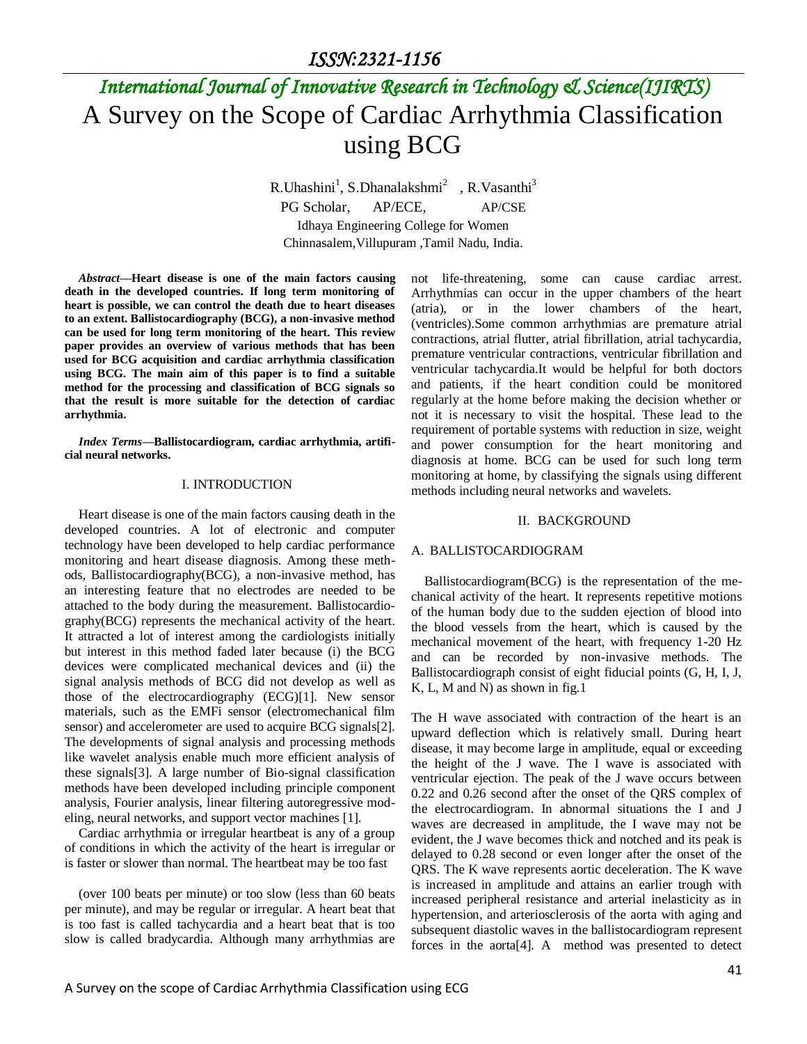# *International Journal of Innovative Research in Technology & Science(IJIRTS)* A Survey on the Scope of Cardiac Arrhythmia Classification using BCG

R.Uhashini<sup>1</sup>, S.Dhanalakshmi<sup>2</sup>, R.Vasanthi<sup>3</sup> PG Scholar, AP/ECE, AP/CSE Idhaya Engineering College for Women Chinnasalem,Villupuram ,Tamil Nadu, India.

*Abstract—***Heart disease is one of the main factors causing death in the developed countries. If long term monitoring of heart is possible, we can control the death due to heart diseases to an extent. Ballistocardiography (BCG), a non-invasive method can be used for long term monitoring of the heart. This review paper provides an overview of various methods that has been used for BCG acquisition and cardiac arrhythmia classification using BCG. The main aim of this paper is to find a suitable method for the processing and classification of BCG signals so that the result is more suitable for the detection of cardiac arrhythmia.**

*Index Terms—***Ballistocardiogram, cardiac arrhythmia, artificial neural networks.**

### I. INTRODUCTION

Heart disease is one of the main factors causing death in the developed countries. A lot of electronic and computer technology have been developed to help cardiac performance monitoring and heart disease diagnosis. Among these methods, Ballistocardiography(BCG), a non-invasive method, has an interesting feature that no electrodes are needed to be attached to the body during the measurement. Ballistocardiography(BCG) represents the mechanical activity of the heart. It attracted a lot of interest among the cardiologists initially but interest in this method faded later because (i) the BCG devices were complicated mechanical devices and (ii) the signal analysis methods of BCG did not develop as well as those of the electrocardiography (ECG)[1]. New sensor materials, such as the EMFi sensor (electromechanical film sensor) and accelerometer are used to acquire BCG signals[2]. The developments of signal analysis and processing methods like wavelet analysis enable much more efficient analysis of these signals[3]. A large number of Bio-signal classification methods have been developed including principle component analysis, Fourier analysis, linear filtering autoregressive modeling, neural networks, and support vector machines [1].

Cardiac arrhythmia or irregular heartbeat is any of a group of conditions in which the activity of the heart is irregular or is faster or slower than normal. The heartbeat may be too fast

(over 100 beats per minute) or too slow (less than 60 beats per minute), and may be regular or irregular. A heart beat that is too fast is called tachycardia and a heart beat that is too slow is called bradycardia. Although many arrhythmias are

not life-threatening, some can cause cardiac arrest. Arrhythmias can occur in the upper chambers of the heart (atria), or in the lower chambers of the heart, (ventricles).Some common arrhythmias are premature atrial contractions, atrial flutter, atrial fibrillation, atrial tachycardia, premature ventricular contractions, ventricular fibrillation and ventricular tachycardia.It would be helpful for both doctors and patients, if the heart condition could be monitored regularly at the home before making the decision whether or not it is necessary to visit the hospital. These lead to the requirement of portable systems with reduction in size, weight and power consumption for the heart monitoring and diagnosis at home. BCG can be used for such long term monitoring at home, by classifying the signals using different methods including neural networks and wavelets.

#### II. BACKGROUND

### A. BALLISTOCARDIOGRAM

Ballistocardiogram(BCG) is the representation of the mechanical activity of the heart. It represents repetitive motions of the human body due to the sudden ejection of blood into the blood vessels from the heart, which is caused by the mechanical movement of the heart, with frequency 1-20 Hz and can be recorded by non-invasive methods. The Ballistocardiograph consist of eight fiducial points (G, H, I, J, K, L, M and N) as shown in fig.1

The H wave associated with contraction of the heart is an upward deflection which is relatively small. During heart disease, it may become large in amplitude, equal or exceeding the height of the J wave. The I wave is associated with ventricular ejection. The peak of the J wave occurs between 0.22 and 0.26 second after the onset of the QRS complex of the electrocardiogram. In abnormal situations the I and J waves are decreased in amplitude, the I wave may not be evident, the J wave becomes thick and notched and its peak is delayed to 0.28 second or even longer after the onset of the QRS. The K wave represents aortic deceleration. The K wave is increased in amplitude and attains an earlier trough with increased peripheral resistance and arterial inelasticity as in hypertension, and arteriosclerosis of the aorta with aging and subsequent diastolic waves in the ballistocardiogram represent forces in the aorta[4]. A method was presented to detect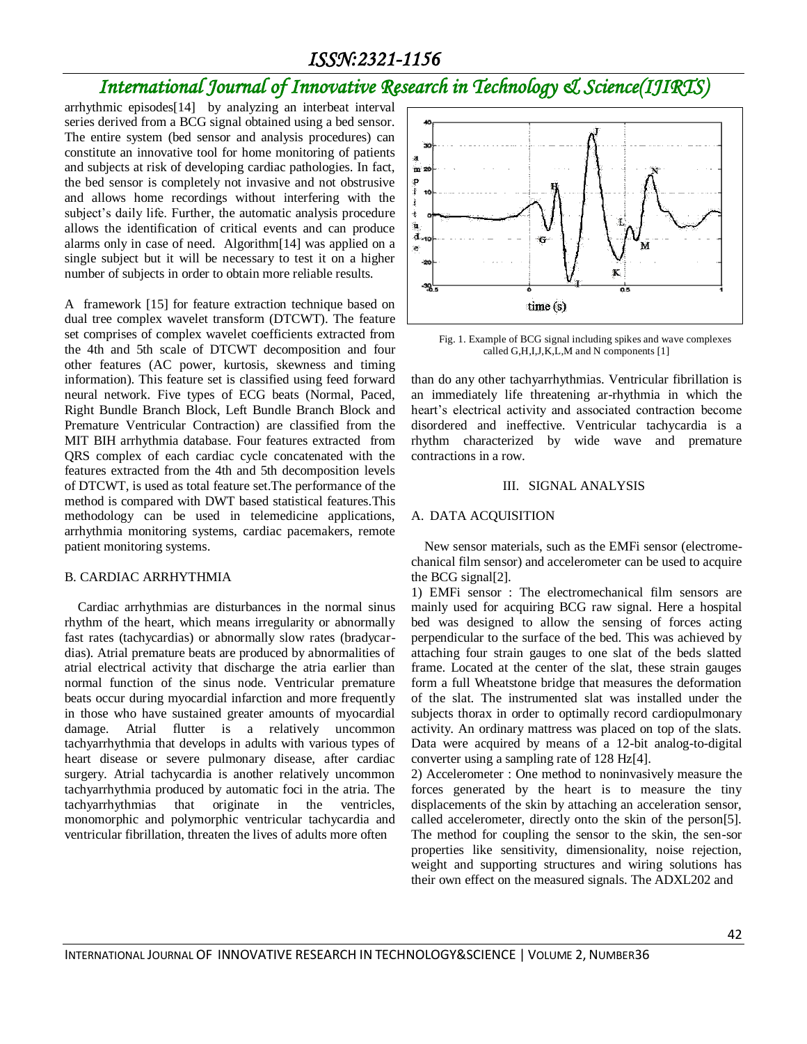### *ISSN:2321-1156*

## *International Journal of Innovative Research in Technology & Science(IJIRTS)*

arrhythmic episodes[14] by analyzing an interbeat interval series derived from a BCG signal obtained using a bed sensor. The entire system (bed sensor and analysis procedures) can constitute an innovative tool for home monitoring of patients and subjects at risk of developing cardiac pathologies. In fact, the bed sensor is completely not invasive and not obstrusive and allows home recordings without interfering with the subject's daily life. Further, the automatic analysis procedure allows the identification of critical events and can produce alarms only in case of need. Algorithm[14] was applied on a single subject but it will be necessary to test it on a higher number of subjects in order to obtain more reliable results.

A framework [15] for feature extraction technique based on dual tree complex wavelet transform (DTCWT). The feature set comprises of complex wavelet coefficients extracted from the 4th and 5th scale of DTCWT decomposition and four other features (AC power, kurtosis, skewness and timing information). This feature set is classified using feed forward neural network. Five types of ECG beats (Normal, Paced, Right Bundle Branch Block, Left Bundle Branch Block and Premature Ventricular Contraction) are classified from the MIT BIH arrhythmia database. Four features extracted from QRS complex of each cardiac cycle concatenated with the features extracted from the 4th and 5th decomposition levels of DTCWT, is used as total feature set.The performance of the method is compared with DWT based statistical features.This methodology can be used in telemedicine applications, arrhythmia monitoring systems, cardiac pacemakers, remote patient monitoring systems.

### B. CARDIAC ARRHYTHMIA

Cardiac arrhythmias are disturbances in the normal sinus rhythm of the heart, which means irregularity or abnormally fast rates (tachycardias) or abnormally slow rates (bradycardias). Atrial premature beats are produced by abnormalities of atrial electrical activity that discharge the atria earlier than normal function of the sinus node. Ventricular premature beats occur during myocardial infarction and more frequently in those who have sustained greater amounts of myocardial damage. Atrial flutter is a relatively uncommon tachyarrhythmia that develops in adults with various types of heart disease or severe pulmonary disease, after cardiac surgery. Atrial tachycardia is another relatively uncommon tachyarrhythmia produced by automatic foci in the atria. The tachyarrhythmias that originate in the ventricles, monomorphic and polymorphic ventricular tachycardia and ventricular fibrillation, threaten the lives of adults more often



Fig. 1. Example of BCG signal including spikes and wave complexes called G,H,I,J,K,L,M and N components [1]

than do any other tachyarrhythmias. Ventricular fibrillation is an immediately life threatening ar-rhythmia in which the heart's electrical activity and associated contraction become disordered and ineffective. Ventricular tachycardia is a rhythm characterized by wide wave and premature contractions in a row.

### III. SIGNAL ANALYSIS

#### A. DATA ACQUISITION

New sensor materials, such as the EMFi sensor (electromechanical film sensor) and accelerometer can be used to acquire the BCG signal[2].

1) EMFi sensor : The electromechanical film sensors are mainly used for acquiring BCG raw signal. Here a hospital bed was designed to allow the sensing of forces acting perpendicular to the surface of the bed. This was achieved by attaching four strain gauges to one slat of the beds slatted frame. Located at the center of the slat, these strain gauges form a full Wheatstone bridge that measures the deformation of the slat. The instrumented slat was installed under the subjects thorax in order to optimally record cardiopulmonary activity. An ordinary mattress was placed on top of the slats. Data were acquired by means of a 12-bit analog-to-digital converter using a sampling rate of 128 Hz[4].

2) Accelerometer : One method to noninvasively measure the forces generated by the heart is to measure the tiny displacements of the skin by attaching an acceleration sensor, called accelerometer, directly onto the skin of the person[5]. The method for coupling the sensor to the skin, the sen-sor properties like sensitivity, dimensionality, noise rejection, weight and supporting structures and wiring solutions has their own effect on the measured signals. The ADXL202 and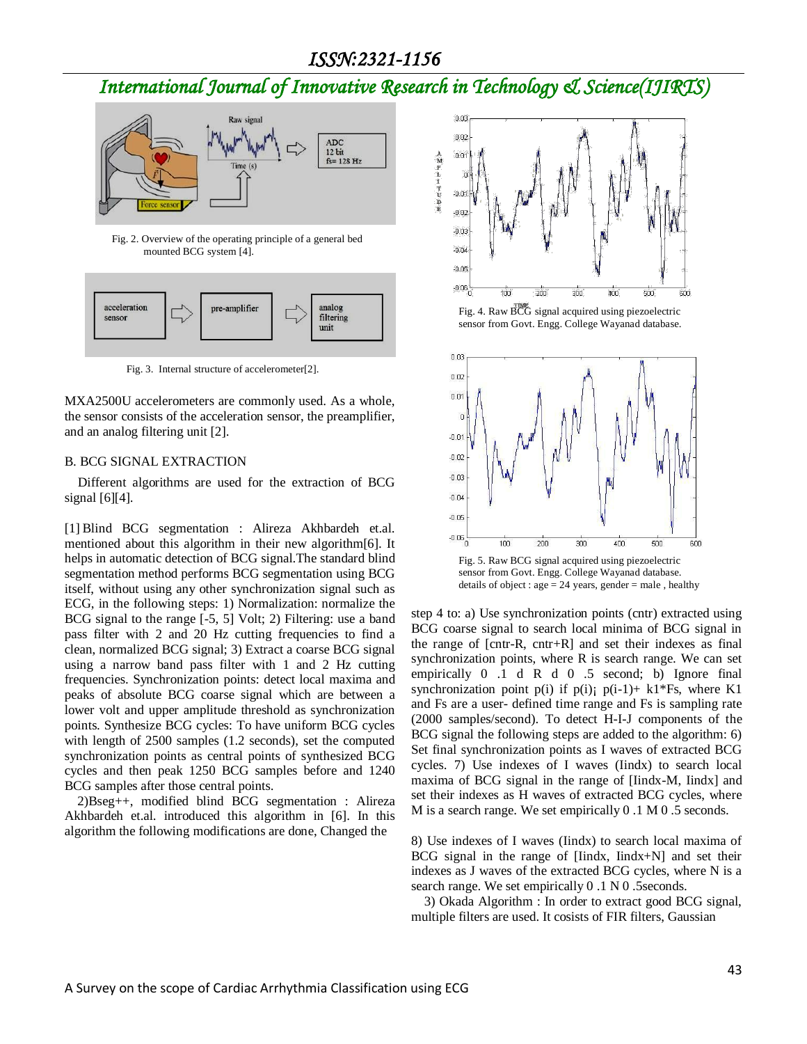### *ISSN:2321-1156*

## *International Journal of Innovative Research in Technology & Science(IJIRTS)*



Fig. 2. Overview of the operating principle of a general bed mounted BCG system [4].



Fig. 3. Internal structure of accelerometer[2].

MXA2500U accelerometers are commonly used. As a whole, the sensor consists of the acceleration sensor, the preamplifier, and an analog filtering unit [2].

### B. BCG SIGNAL EXTRACTION

Different algorithms are used for the extraction of BCG signal [6][4].

[1] Blind BCG segmentation : Alireza Akhbardeh et.al. mentioned about this algorithm in their new algorithm[6]. It helps in automatic detection of BCG signal.The standard blind segmentation method performs BCG segmentation using BCG itself, without using any other synchronization signal such as ECG, in the following steps: 1) Normalization: normalize the BCG signal to the range [-5, 5] Volt; 2) Filtering: use a band pass filter with 2 and 20 Hz cutting frequencies to find a clean, normalized BCG signal; 3) Extract a coarse BCG signal using a narrow band pass filter with 1 and 2 Hz cutting frequencies. Synchronization points: detect local maxima and peaks of absolute BCG coarse signal which are between a lower volt and upper amplitude threshold as synchronization points. Synthesize BCG cycles: To have uniform BCG cycles with length of 2500 samples (1.2 seconds), set the computed synchronization points as central points of synthesized BCG cycles and then peak 1250 BCG samples before and 1240 BCG samples after those central points.

 2)Bseg++, modified blind BCG segmentation : Alireza Akhbardeh et.al. introduced this algorithm in [6]. In this algorithm the following modifications are done, Changed the



Fig. 4. Raw BCG signal acquired using piezoelectric sensor from Govt. Engg. College Wayanad database.



sensor from Govt. Engg. College Wayanad database. details of object :  $age = 24 \text{ years}$ ,  $gender = male$ , healthy

step 4 to: a) Use synchronization points (cntr) extracted using BCG coarse signal to search local minima of BCG signal in the range of [cntr-R, cntr+R] and set their indexes as final synchronization points, where R is search range. We can set empirically 0 .1 d R d 0 .5 second; b) Ignore final synchronization point p(i) if p(i); p(i-1)+ k1\*Fs, where K1 and Fs are a user- defined time range and Fs is sampling rate (2000 samples/second). To detect H-I-J components of the BCG signal the following steps are added to the algorithm: 6) Set final synchronization points as I waves of extracted BCG cycles. 7) Use indexes of I waves (Iindx) to search local maxima of BCG signal in the range of [Iindx-M, Iindx] and set their indexes as H waves of extracted BCG cycles, where M is a search range. We set empirically 0 .1 M 0 .5 seconds.

8) Use indexes of I waves (Iindx) to search local maxima of BCG signal in the range of [Iindx, Iindx+N] and set their indexes as J waves of the extracted BCG cycles, where N is a search range. We set empirically 0 .1 N 0 .5seconds.

 3) Okada Algorithm : In order to extract good BCG signal, multiple filters are used. It cosists of FIR filters, Gaussian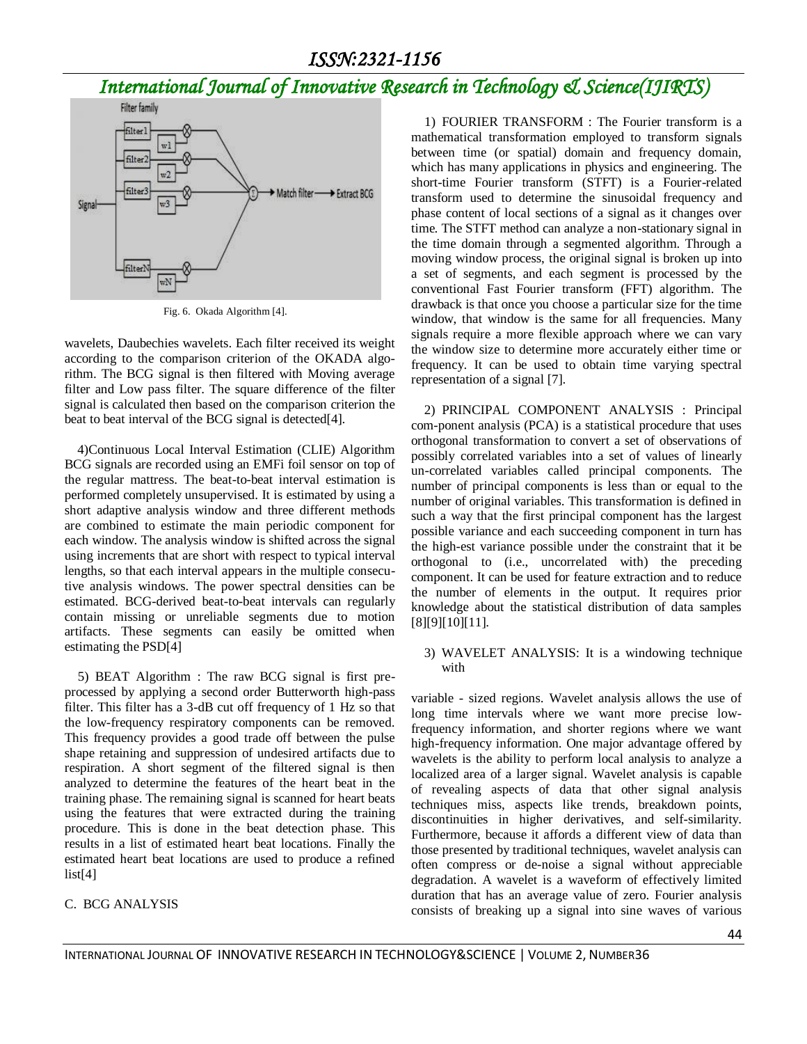## *International Journal of Innovative Research in Technology & Science(IJIRTS)*



Fig. 6. Okada Algorithm [4].

wavelets, Daubechies wavelets. Each filter received its weight according to the comparison criterion of the OKADA algorithm. The BCG signal is then filtered with Moving average filter and Low pass filter. The square difference of the filter signal is calculated then based on the comparison criterion the beat to beat interval of the BCG signal is detected[4].

 4)Continuous Local Interval Estimation (CLIE) Algorithm BCG signals are recorded using an EMFi foil sensor on top of the regular mattress. The beat-to-beat interval estimation is performed completely unsupervised. It is estimated by using a short adaptive analysis window and three different methods are combined to estimate the main periodic component for each window. The analysis window is shifted across the signal using increments that are short with respect to typical interval lengths, so that each interval appears in the multiple consecutive analysis windows. The power spectral densities can be estimated. BCG-derived beat-to-beat intervals can regularly contain missing or unreliable segments due to motion artifacts. These segments can easily be omitted when estimating the PSD[4]

5) BEAT Algorithm : The raw BCG signal is first preprocessed by applying a second order Butterworth high-pass filter. This filter has a 3-dB cut off frequency of 1 Hz so that the low-frequency respiratory components can be removed. This frequency provides a good trade off between the pulse shape retaining and suppression of undesired artifacts due to respiration. A short segment of the filtered signal is then analyzed to determine the features of the heart beat in the training phase. The remaining signal is scanned for heart beats using the features that were extracted during the training procedure. This is done in the beat detection phase. This results in a list of estimated heart beat locations. Finally the estimated heart beat locations are used to produce a refined  $list[4]$ 

### C. BCG ANALYSIS

1) FOURIER TRANSFORM : The Fourier transform is a mathematical transformation employed to transform signals between time (or spatial) domain and frequency domain, which has many applications in physics and engineering. The short-time Fourier transform (STFT) is a Fourier-related transform used to determine the sinusoidal frequency and phase content of local sections of a signal as it changes over time. The STFT method can analyze a non-stationary signal in the time domain through a segmented algorithm. Through a moving window process, the original signal is broken up into a set of segments, and each segment is processed by the conventional Fast Fourier transform (FFT) algorithm. The drawback is that once you choose a particular size for the time window, that window is the same for all frequencies. Many signals require a more flexible approach where we can vary the window size to determine more accurately either time or frequency. It can be used to obtain time varying spectral representation of a signal [7].

2) PRINCIPAL COMPONENT ANALYSIS : Principal com-ponent analysis (PCA) is a statistical procedure that uses orthogonal transformation to convert a set of observations of possibly correlated variables into a set of values of linearly un-correlated variables called principal components. The number of principal components is less than or equal to the number of original variables. This transformation is defined in such a way that the first principal component has the largest possible variance and each succeeding component in turn has the high-est variance possible under the constraint that it be orthogonal to (i.e., uncorrelated with) the preceding component. It can be used for feature extraction and to reduce the number of elements in the output. It requires prior knowledge about the statistical distribution of data samples [8][9][10][11].

3) WAVELET ANALYSIS: It is a windowing technique with

variable - sized regions. Wavelet analysis allows the use of long time intervals where we want more precise lowfrequency information, and shorter regions where we want high-frequency information. One major advantage offered by wavelets is the ability to perform local analysis to analyze a localized area of a larger signal. Wavelet analysis is capable of revealing aspects of data that other signal analysis techniques miss, aspects like trends, breakdown points, discontinuities in higher derivatives, and self-similarity. Furthermore, because it affords a different view of data than those presented by traditional techniques, wavelet analysis can often compress or de-noise a signal without appreciable degradation. A wavelet is a waveform of effectively limited duration that has an average value of zero. Fourier analysis consists of breaking up a signal into sine waves of various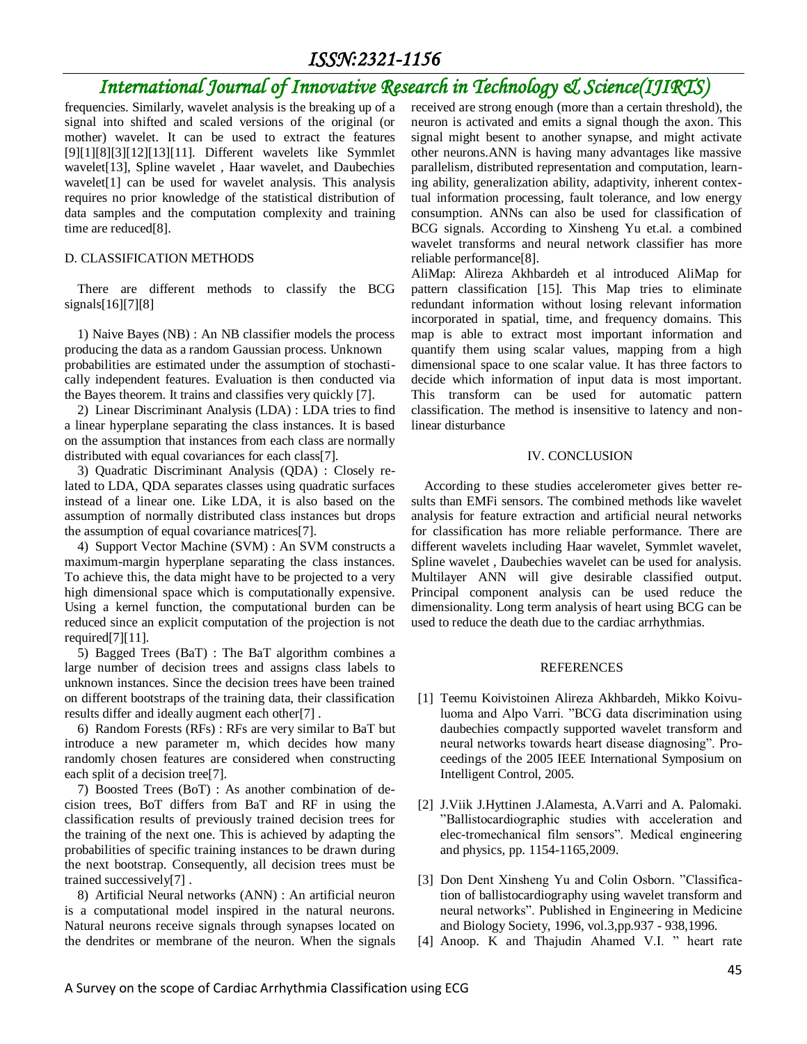### *ISSN:2321-1156*

### *International Journal of Innovative Research in Technology & Science(IJIRTS)*

frequencies. Similarly, wavelet analysis is the breaking up of a signal into shifted and scaled versions of the original (or mother) wavelet. It can be used to extract the features [9][1][8][3][12][13][11]. Different wavelets like Symmlet wavelet[13], Spline wavelet , Haar wavelet, and Daubechies wavelet[1] can be used for wavelet analysis. This analysis requires no prior knowledge of the statistical distribution of data samples and the computation complexity and training time are reduced[8].

### D. CLASSIFICATION METHODS

There are different methods to classify the BCG signals[16][7][8]

1) Naive Bayes (NB) : An NB classifier models the process producing the data as a random Gaussian process. Unknown probabilities are estimated under the assumption of stochastically independent features. Evaluation is then conducted via the Bayes theorem. It trains and classifies very quickly [7].

2) Linear Discriminant Analysis (LDA) : LDA tries to find a linear hyperplane separating the class instances. It is based on the assumption that instances from each class are normally distributed with equal covariances for each class[7].

3) Quadratic Discriminant Analysis (QDA) : Closely related to LDA, QDA separates classes using quadratic surfaces instead of a linear one. Like LDA, it is also based on the assumption of normally distributed class instances but drops the assumption of equal covariance matrices[7].

4) Support Vector Machine (SVM) : An SVM constructs a maximum-margin hyperplane separating the class instances. To achieve this, the data might have to be projected to a very high dimensional space which is computationally expensive. Using a kernel function, the computational burden can be reduced since an explicit computation of the projection is not required[7][11].

5) Bagged Trees (BaT) : The BaT algorithm combines a large number of decision trees and assigns class labels to unknown instances. Since the decision trees have been trained on different bootstraps of the training data, their classification results differ and ideally augment each other[7] .

6) Random Forests (RFs) : RFs are very similar to BaT but introduce a new parameter m, which decides how many randomly chosen features are considered when constructing each split of a decision tree[7].

7) Boosted Trees (BoT) : As another combination of decision trees, BoT differs from BaT and RF in using the classification results of previously trained decision trees for the training of the next one. This is achieved by adapting the probabilities of specific training instances to be drawn during the next bootstrap. Consequently, all decision trees must be trained successively[7] .

8) Artificial Neural networks (ANN) : An artificial neuron is a computational model inspired in the natural neurons. Natural neurons receive signals through synapses located on the dendrites or membrane of the neuron. When the signals received are strong enough (more than a certain threshold), the neuron is activated and emits a signal though the axon. This signal might besent to another synapse, and might activate other neurons.ANN is having many advantages like massive parallelism, distributed representation and computation, learning ability, generalization ability, adaptivity, inherent contextual information processing, fault tolerance, and low energy consumption. ANNs can also be used for classification of BCG signals. According to Xinsheng Yu et.al. a combined wavelet transforms and neural network classifier has more reliable performance[8].

AliMap: Alireza Akhbardeh et al introduced AliMap for pattern classification [15]. This Map tries to eliminate redundant information without losing relevant information incorporated in spatial, time, and frequency domains. This map is able to extract most important information and quantify them using scalar values, mapping from a high dimensional space to one scalar value. It has three factors to decide which information of input data is most important. This transform can be used for automatic pattern classification. The method is insensitive to latency and nonlinear disturbance

### IV. CONCLUSION

According to these studies accelerometer gives better results than EMFi sensors. The combined methods like wavelet analysis for feature extraction and artificial neural networks for classification has more reliable performance. There are different wavelets including Haar wavelet, Symmlet wavelet, Spline wavelet , Daubechies wavelet can be used for analysis. Multilayer ANN will give desirable classified output. Principal component analysis can be used reduce the dimensionality. Long term analysis of heart using BCG can be used to reduce the death due to the cardiac arrhythmias.

#### REFERENCES

- [1] Teemu Koivistoinen Alireza Akhbardeh, Mikko Koivuluoma and Alpo Varri. "BCG data discrimination using daubechies compactly supported wavelet transform and neural networks towards heart disease diagnosing". Proceedings of the 2005 IEEE International Symposium on Intelligent Control, 2005.
- [2] J.Viik J.Hyttinen J.Alamesta, A.Varri and A. Palomaki. "Ballistocardiographic studies with acceleration and elec-tromechanical film sensors". Medical engineering and physics, pp. 1154-1165,2009.
- [3] Don Dent Xinsheng Yu and Colin Osborn. "Classification of ballistocardiography using wavelet transform and neural networks". Published in Engineering in Medicine and Biology Society, 1996, vol.3,pp.937 - 938,1996.
- [4] Anoop. K and Thajudin Ahamed V.I. " heart rate